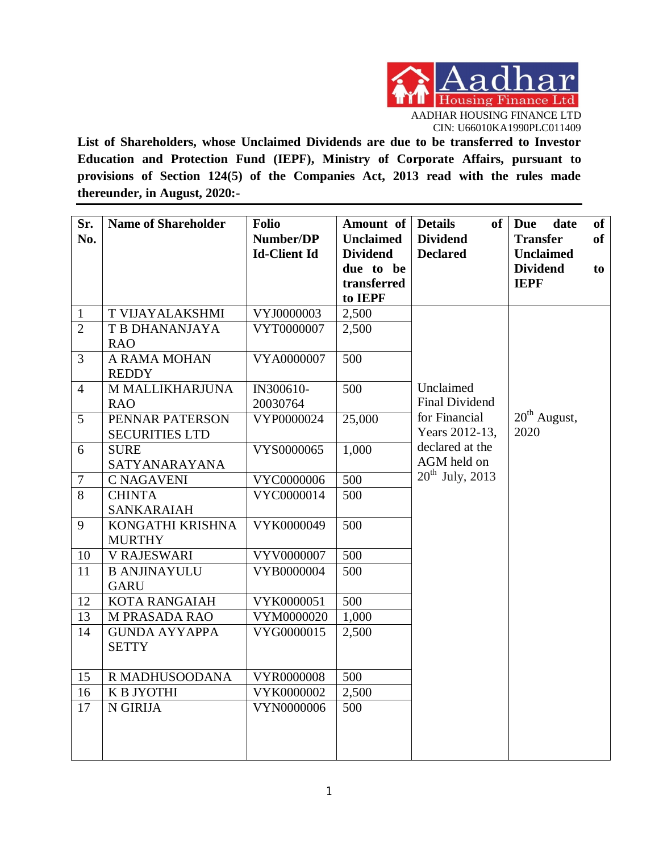

**List of Shareholders, whose Unclaimed Dividends are due to be transferred to Investor Education and Protection Fund (IEPF), Ministry of Corporate Affairs, pursuant to provisions of Section 124(5) of the Companies Act, 2013 read with the rules made thereunder, in August, 2020:-**

| Sr.<br>No.     | <b>Name of Shareholder</b>                             | <b>Folio</b><br>Number/DP<br><b>Id-Client Id</b> | Amount of<br><b>Unclaimed</b><br><b>Dividend</b><br>due to be<br>transferred<br>to IEPF | <b>Details</b><br>of<br><b>Dividend</b><br><b>Declared</b> | <b>Due</b><br>date<br><b>Transfer</b><br><b>Unclaimed</b><br><b>Dividend</b><br><b>IEPF</b> | of<br><b>of</b><br>to |
|----------------|--------------------------------------------------------|--------------------------------------------------|-----------------------------------------------------------------------------------------|------------------------------------------------------------|---------------------------------------------------------------------------------------------|-----------------------|
| $\mathbf{1}$   | T VIJAYALAKSHMI                                        | VYJ0000003                                       | 2,500                                                                                   |                                                            |                                                                                             |                       |
| $\overline{2}$ | T B DHANANJAYA<br><b>RAO</b>                           | VYT0000007                                       | 2,500                                                                                   |                                                            |                                                                                             |                       |
| 3              | A RAMA MOHAN<br><b>REDDY</b>                           | VYA0000007                                       | $\overline{500}$                                                                        |                                                            |                                                                                             |                       |
| $\overline{4}$ | M MALLIKHARJUNA                                        | IN300610-<br>20030764                            | 500                                                                                     | Unclaimed<br><b>Final Dividend</b>                         |                                                                                             |                       |
| 5              | <b>RAO</b><br>PENNAR PATERSON<br><b>SECURITIES LTD</b> | VYP0000024                                       | 25,000                                                                                  | for Financial<br>Years 2012-13,                            | $20th$ August,<br>2020                                                                      |                       |
| 6              | <b>SURE</b><br>SATYANARAYANA                           | VYS0000065                                       | 1,000                                                                                   | declared at the<br>AGM held on                             |                                                                                             |                       |
| $\overline{7}$ | <b>C NAGAVENI</b>                                      | VYC0000006                                       | 500                                                                                     | $20^{th}$ July, 2013                                       |                                                                                             |                       |
| 8              | <b>CHINTA</b><br>SANKARAIAH                            | VYC0000014                                       | 500                                                                                     |                                                            |                                                                                             |                       |
| 9              | KONGATHI KRISHNA<br><b>MURTHY</b>                      | VYK0000049                                       | 500                                                                                     |                                                            |                                                                                             |                       |
| 10             | <b>V RAJESWARI</b>                                     | VYV0000007                                       | 500                                                                                     |                                                            |                                                                                             |                       |
| 11             | <b>B ANJINAYULU</b><br><b>GARU</b>                     | VYB0000004                                       | 500                                                                                     |                                                            |                                                                                             |                       |
| 12             | <b>KOTA RANGAIAH</b>                                   | VYK0000051                                       | 500                                                                                     |                                                            |                                                                                             |                       |
| 13             | M PRASADA RAO                                          | VYM0000020                                       | 1,000                                                                                   |                                                            |                                                                                             |                       |
| 14             | <b>GUNDA AYYAPPA</b><br><b>SETTY</b>                   | VYG0000015                                       | 2,500                                                                                   |                                                            |                                                                                             |                       |
| 15             | R MADHUSOODANA                                         | VYR0000008                                       | 500                                                                                     |                                                            |                                                                                             |                       |
| 16             | K B JYOTHI                                             | VYK0000002                                       | 2,500                                                                                   |                                                            |                                                                                             |                       |
| 17             | N GIRIJA                                               | VYN0000006                                       | 500                                                                                     |                                                            |                                                                                             |                       |
|                |                                                        |                                                  |                                                                                         |                                                            |                                                                                             |                       |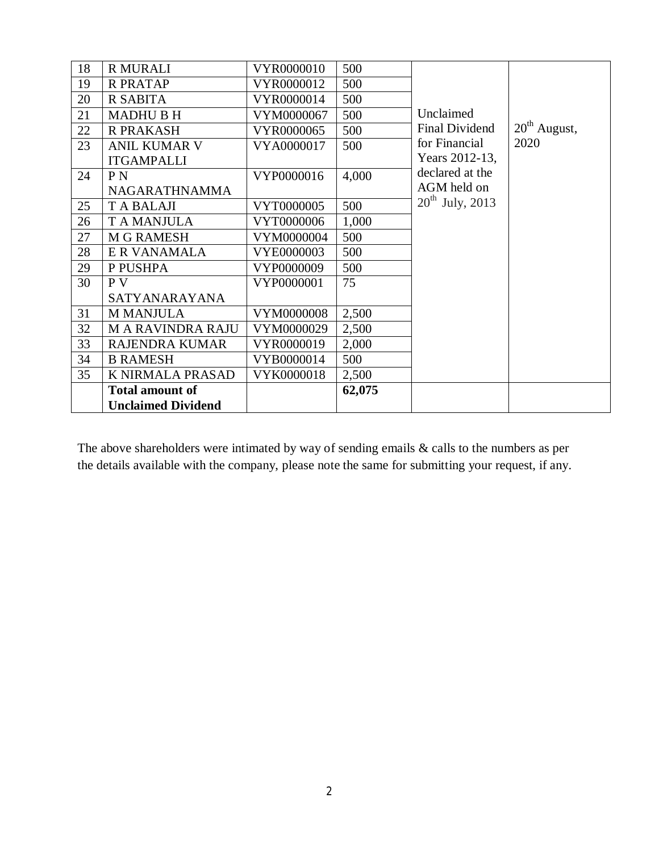| 18 | <b>R MURALI</b>           | VYR0000010 | 500    |                      |                          |
|----|---------------------------|------------|--------|----------------------|--------------------------|
| 19 | <b>R PRATAP</b>           | VYR0000012 | 500    |                      |                          |
| 20 | R SABITA                  | VYR0000014 | 500    |                      |                          |
| 21 | <b>MADHU B H</b>          | VYM0000067 | 500    | Unclaimed            |                          |
| 22 | <b>R PRAKASH</b>          | VYR0000065 | 500    | Final Dividend       | 20 <sup>th</sup> August, |
| 23 | <b>ANIL KUMAR V</b>       | VYA0000017 | 500    | for Financial        | 2020                     |
|    | <b>ITGAMPALLI</b>         |            |        | Years 2012-13,       |                          |
| 24 | P <sub>N</sub>            | VYP0000016 | 4,000  | declared at the      |                          |
|    | <b>NAGARATHNAMMA</b>      |            |        | AGM held on          |                          |
| 25 | T A BALAJI                | VYT0000005 | 500    | $20^{th}$ July, 2013 |                          |
| 26 | <b>TA MANJULA</b>         | VYT0000006 | 1,000  |                      |                          |
| 27 | <b>M G RAMESH</b>         | VYM0000004 | 500    |                      |                          |
| 28 | E R VANAMALA              | VYE0000003 | 500    |                      |                          |
| 29 | P PUSHPA                  | VYP0000009 | 500    |                      |                          |
| 30 | P V                       | VYP0000001 | 75     |                      |                          |
|    | SATYANARAYANA             |            |        |                      |                          |
| 31 | <b>M MANJULA</b>          | VYM0000008 | 2,500  |                      |                          |
| 32 | <b>MARAVINDRARAJU</b>     | VYM0000029 | 2,500  |                      |                          |
| 33 | <b>RAJENDRA KUMAR</b>     | VYR0000019 | 2,000  |                      |                          |
| 34 | <b>B RAMESH</b>           | VYB0000014 | 500    |                      |                          |
| 35 | K NIRMALA PRASAD          | VYK0000018 | 2,500  |                      |                          |
|    | <b>Total amount of</b>    |            | 62,075 |                      |                          |
|    | <b>Unclaimed Dividend</b> |            |        |                      |                          |

The above shareholders were intimated by way of sending emails & calls to the numbers as per the details available with the company, please note the same for submitting your request, if any.